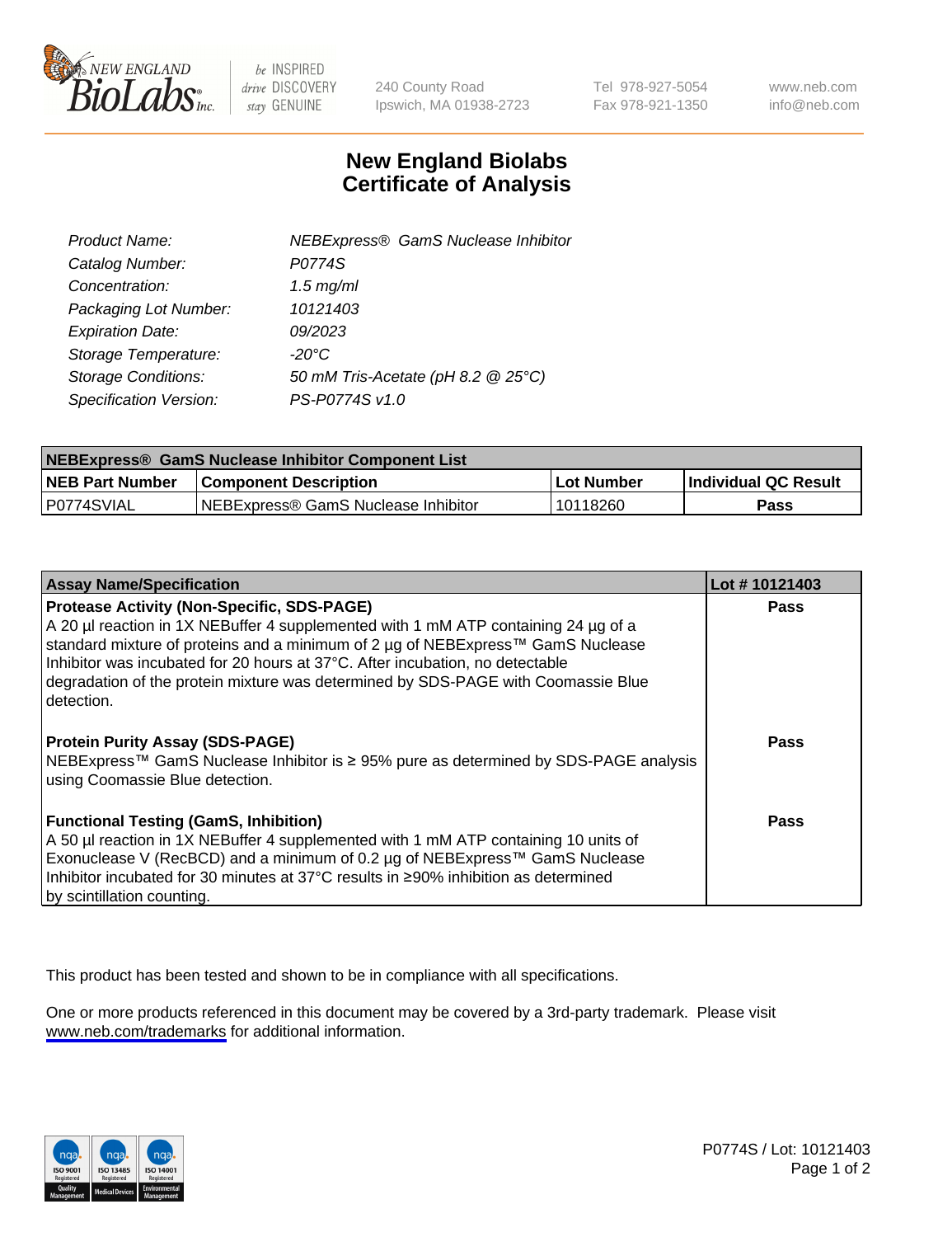

be INSPIRED drive DISCOVERY stay GENUINE

240 County Road Ipswich, MA 01938-2723 Tel 978-927-5054 Fax 978-921-1350

www.neb.com info@neb.com

## **New England Biolabs Certificate of Analysis**

| <b>NEBExpress® GamS Nuclease Inhibitor</b> |
|--------------------------------------------|
| P0774S                                     |
| $1.5$ mg/ml                                |
| 10121403                                   |
| 09/2023                                    |
| $-20^{\circ}$ C                            |
| 50 mM Tris-Acetate (pH 8.2 @ 25°C)         |
| PS-P0774S v1.0                             |
|                                            |

| NEBExpress® GamS Nuclease Inhibitor Component List |                                      |            |                             |  |
|----------------------------------------------------|--------------------------------------|------------|-----------------------------|--|
| <b>NEB Part Number</b>                             | <b>Component Description</b>         | Lot Number | <b>Individual QC Result</b> |  |
| P0774SVIAL                                         | INEBExpress® GamS Nuclease Inhibitor | 10118260   | Pass                        |  |

| <b>Assay Name/Specification</b>                                                                                         | Lot #10121403 |
|-------------------------------------------------------------------------------------------------------------------------|---------------|
| <b>Protease Activity (Non-Specific, SDS-PAGE)</b>                                                                       | <b>Pass</b>   |
| A 20 µl reaction in 1X NEBuffer 4 supplemented with 1 mM ATP containing 24 µg of a                                      |               |
| standard mixture of proteins and a minimum of 2 µg of NEBExpress™ GamS Nuclease                                         |               |
| Inhibitor was incubated for 20 hours at 37°C. After incubation, no detectable                                           |               |
| degradation of the protein mixture was determined by SDS-PAGE with Coomassie Blue                                       |               |
| detection.                                                                                                              |               |
| <b>Protein Purity Assay (SDS-PAGE)</b>                                                                                  | Pass          |
| NEBExpress™ GamS Nuclease Inhibitor is ≥ 95% pure as determined by SDS-PAGE analysis<br>using Coomassie Blue detection. |               |
| <b>Functional Testing (GamS, Inhibition)</b>                                                                            | Pass          |
| A 50 µl reaction in 1X NEBuffer 4 supplemented with 1 mM ATP containing 10 units of                                     |               |
| Exonuclease V (RecBCD) and a minimum of 0.2 µg of NEBExpress™ GamS Nuclease                                             |               |
| Inhibitor incubated for 30 minutes at 37°C results in ≥90% inhibition as determined                                     |               |
| by scintillation counting.                                                                                              |               |

This product has been tested and shown to be in compliance with all specifications.

One or more products referenced in this document may be covered by a 3rd-party trademark. Please visit <www.neb.com/trademarks>for additional information.